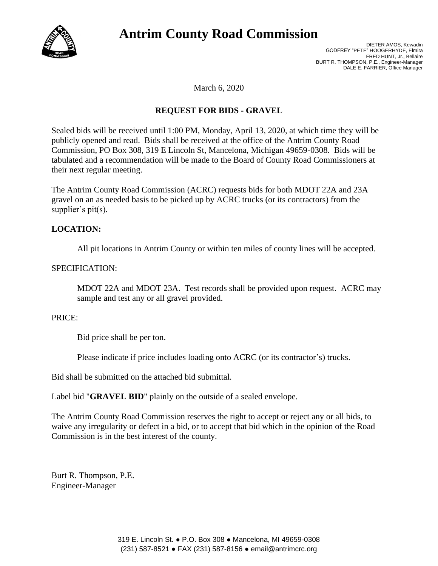

# **Antrim County Road Commission**

DIETER AMOS, Kewadin GODFREY "PETE" HOOGERHYDE, Elmira FRED HUNT, Jr., Bellaire BURT R. THOMPSON, P.E., Engineer-Manager DALE E. FARRIER, Office Manager

March 6, 2020

### **REQUEST FOR BIDS - GRAVEL**

Sealed bids will be received until 1:00 PM, Monday, April 13, 2020, at which time they will be publicly opened and read. Bids shall be received at the office of the Antrim County Road Commission, PO Box 308, 319 E Lincoln St, Mancelona, Michigan 49659-0308. Bids will be tabulated and a recommendation will be made to the Board of County Road Commissioners at their next regular meeting.

The Antrim County Road Commission (ACRC) requests bids for both MDOT 22A and 23A gravel on an as needed basis to be picked up by ACRC trucks (or its contractors) from the supplier's pit(s).

#### **LOCATION:**

All pit locations in Antrim County or within ten miles of county lines will be accepted.

#### SPECIFICATION:

MDOT 22A and MDOT 23A. Test records shall be provided upon request. ACRC may sample and test any or all gravel provided.

#### PRICE:

Bid price shall be per ton.

Please indicate if price includes loading onto ACRC (or its contractor's) trucks.

Bid shall be submitted on the attached bid submittal.

Label bid "**GRAVEL BID**" plainly on the outside of a sealed envelope.

The Antrim County Road Commission reserves the right to accept or reject any or all bids, to waive any irregularity or defect in a bid, or to accept that bid which in the opinion of the Road Commission is in the best interest of the county.

Burt R. Thompson, P.E. Engineer-Manager